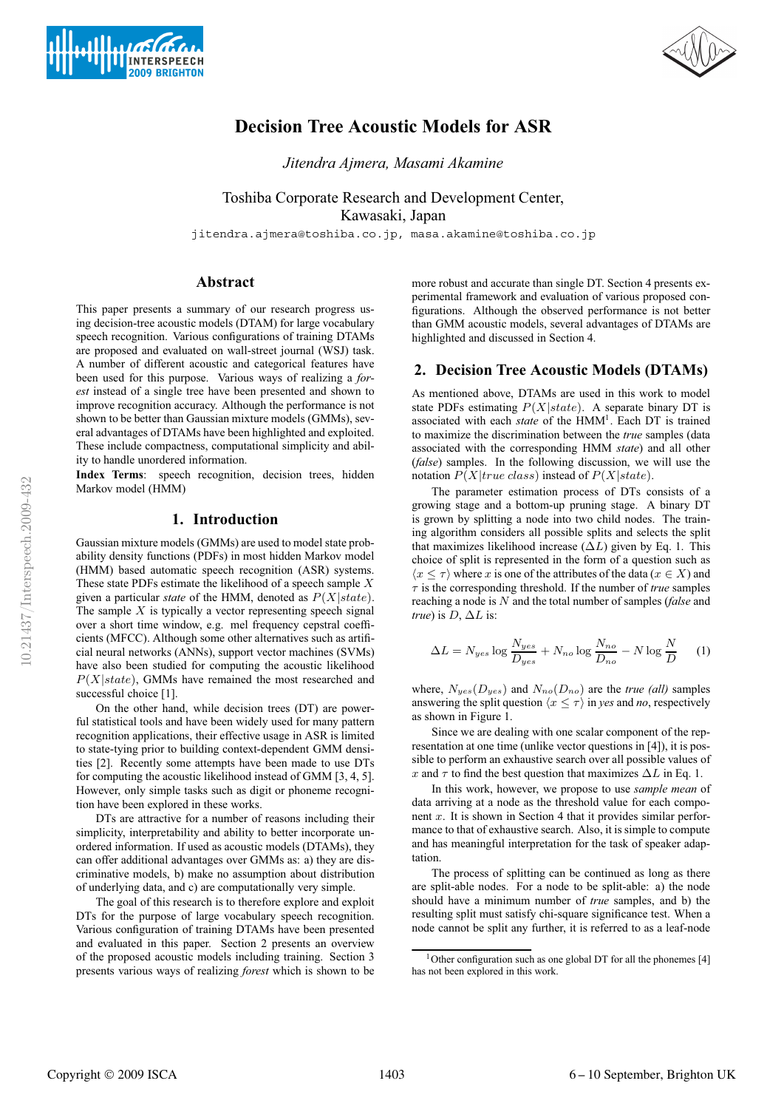



# **Decision Tree Acoustic Models for ASR**

*Jitendra Ajmera, Masami Akamine*

Toshiba Corporate Research and Development Center, Kawasaki, Japan

jitendra.ajmera@toshiba.co.jp, masa.akamine@toshiba.co.jp

# **Abstract**

This paper presents a summary of our research progress using decision-tree acoustic models (DTAM) for large vocabulary speech recognition. Various configurations of training DTAMs are proposed and evaluated on wall-street journal (WSJ) task. A number of different acoustic and categorical features have been used for this purpose. Various ways of realizing a *forest* instead of a single tree have been presented and shown to improve recognition accuracy. Although the performance is not shown to be better than Gaussian mixture models (GMMs), several advantages of DTAMs have been highlighted and exploited. These include compactness, computational simplicity and ability to handle unordered information.

**Index Terms**: speech recognition, decision trees, hidden Markov model (HMM)

# **1. Introduction**

Gaussian mixture models (GMMs) are used to model state probability density functions (PDFs) in most hidden Markov model (HMM) based automatic speech recognition (ASR) systems. These state PDFs estimate the likelihood of a speech sample  $X$ given a particular *state* of the HMM, denoted as P(X|state). The sample  $X$  is typically a vector representing speech signal over a short time window, e.g. mel frequency cepstral coefficients (MFCC). Although some other alternatives such as artificial neural networks (ANNs), support vector machines (SVMs) have also been studied for computing the acoustic likelihood  $P(X|state)$ , GMMs have remained the most researched and successful choice [1].

On the other hand, while decision trees (DT) are powerful statistical tools and have been widely used for many pattern recognition applications, their effective usage in ASR is limited to state-tying prior to building context-dependent GMM densities [2]. Recently some attempts have been made to use DTs for computing the acoustic likelihood instead of GMM [3, 4, 5]. However, only simple tasks such as digit or phoneme recognition have been explored in these works.

DTs are attractive for a number of reasons including their simplicity, interpretability and ability to better incorporate unordered information. If used as acoustic models (DTAMs), they can offer additional advantages over GMMs as: a) they are discriminative models, b) make no assumption about distribution of underlying data, and c) are computationally very simple.

The goal of this research is to therefore explore and exploit DTs for the purpose of large vocabulary speech recognition. Various configuration of training DTAMs have been presented and evaluated in this paper. Section 2 presents an overview of the proposed acoustic models including training. Section 3 presents various ways of realizing *forest* which is shown to be more robust and accurate than single DT. Section 4 presents experimental framework and evaluation of various proposed configurations. Although the observed performance is not better than GMM acoustic models, several advantages of DTAMs are highlighted and discussed in Section 4.

# **2. Decision Tree Acoustic Models (DTAMs)**

As mentioned above, DTAMs are used in this work to model state PDFs estimating  $P(X|state)$ . A separate binary DT is associated with each *state* of the HMM<sup>1</sup>. Each DT is trained to maximize the discrimination between the *true* samples (data associated with the corresponding HMM *state*) and all other (*false*) samples. In the following discussion, we will use the notation  $P(X|true \; class)$  instead of  $P(X|state)$ .

The parameter estimation process of DTs consists of a growing stage and a bottom-up pruning stage. A binary DT is grown by splitting a node into two child nodes. The training algorithm considers all possible splits and selects the split that maximizes likelihood increase  $(\Delta L)$  given by Eq. 1. This choice of split is represented in the form of a question such as  $\langle x \leq \tau \rangle$  where x is one of the attributes of the data ( $x \in X$ ) and  $\tau$  is the corresponding threshold. If the number of *true* samples reaching a node is N and the total number of samples (*false* and *true*) is  $D$ ,  $\Delta L$  is:

$$
\Delta L = N_{yes} \log \frac{N_{yes}}{D_{yes}} + N_{no} \log \frac{N_{no}}{D_{no}} - N \log \frac{N}{D}
$$
 (1)

where,  $N_{yes}(D_{yes})$  and  $N_{no}(D_{no})$  are the *true (all)* samples answering the split question  $\langle x \leq \tau \rangle$  in *yes* and *no*, respectively as shown in Figure 1.

Since we are dealing with one scalar component of the representation at one time (unlike vector questions in [4]), it is possible to perform an exhaustive search over all possible values of x and  $\tau$  to find the best question that maximizes  $\Delta L$  in Eq. 1.

In this work, however, we propose to use *sample mean* of data arriving at a node as the threshold value for each component  $x$ . It is shown in Section 4 that it provides similar performance to that of exhaustive search. Also, it is simple to compute and has meaningful interpretation for the task of speaker adaptation.

The process of splitting can be continued as long as there are split-able nodes. For a node to be split-able: a) the node should have a minimum number of *true* samples, and b) the resulting split must satisfy chi-square significance test. When a node cannot be split any further, it is referred to as a leaf-node

<sup>&</sup>lt;sup>1</sup> Other configuration such as one global DT for all the phonemes  $[4]$ has not been explored in this work.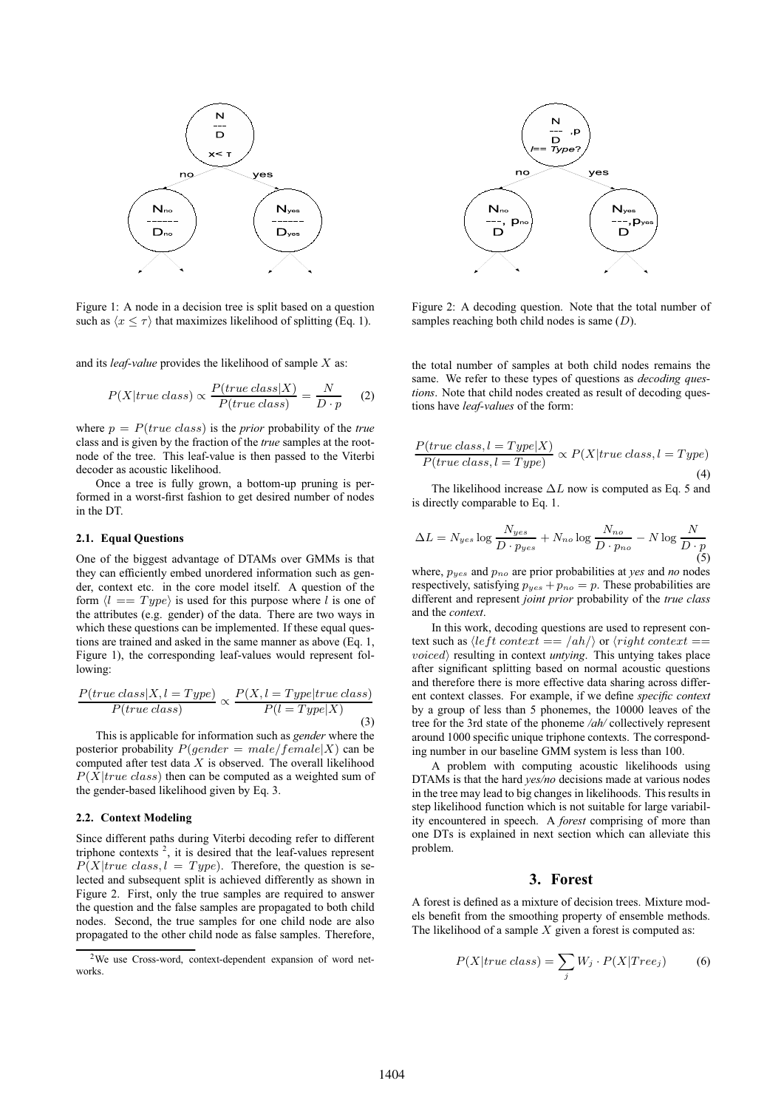

Figure 1: A node in a decision tree is split based on a question such as  $\langle x \leq \tau \rangle$  that maximizes likelihood of splitting (Eq. 1).

and its *leaf-value* provides the likelihood of sample X as:

$$
P(X|true\;class) \propto \frac{P(true\;class|X)}{P(true\;class)} = \frac{N}{D \cdot p} \tag{2}
$$

where  $p = P(true class)$  is the *prior* probability of the *true* class and is given by the fraction of the *true* samples at the rootnode of the tree. This leaf-value is then passed to the Viterbi decoder as acoustic likelihood.

Once a tree is fully grown, a bottom-up pruning is performed in a worst-first fashion to get desired number of nodes in the DT.

#### **2.1. Equal Questions**

One of the biggest advantage of DTAMs over GMMs is that they can efficiently embed unordered information such as gender, context etc. in the core model itself. A question of the form  $\langle l == Type \rangle$  is used for this purpose where l is one of the attributes (e.g. gender) of the data. There are two ways in which these questions can be implemented. If these equal questions are trained and asked in the same manner as above (Eq. 1, Figure 1), the corresponding leaf-values would represent following:

$$
\frac{P(true \; class | X, l = Type)}{P(true \; class)} \propto \frac{P(X, l = Type | true \; class)}{P(l = Type | X)}
$$
\n(3)

This is applicable for information such as *gender* where the posterior probability  $P(gender = male/female|X)$  can be computed after test data  $X$  is observed. The overall likelihood  $P(X|true \; class)$  then can be computed as a weighted sum of the gender-based likelihood given by Eq. 3.

### **2.2. Context Modeling**

Since different paths during Viterbi decoding refer to different triphone contexts  $2$ , it is desired that the leaf-values represent  $P(X|true \; class, l = Type)$ . Therefore, the question is selected and subsequent split is achieved differently as shown in Figure 2. First, only the true samples are required to answer the question and the false samples are propagated to both child nodes. Second, the true samples for one child node are also propagated to the other child node as false samples. Therefore,





Figure 2: A decoding question. Note that the total number of samples reaching both child nodes is same  $(D)$ .

the total number of samples at both child nodes remains the same. We refer to these types of questions as *decoding questions*. Note that child nodes created as result of decoding questions have *leaf-values* of the form:

$$
\frac{P(true \; class, l = Type|X)}{P(true \; class, l = Type)} \propto P(X | true \; class, l = Type)
$$
\n(4)

The likelihood increase  $\Delta L$  now is computed as Eq. 5 and is directly comparable to Eq. 1.

$$
\Delta L = N_{yes} \log \frac{N_{yes}}{D \cdot p_{yes}} + N_{no} \log \frac{N_{no}}{D \cdot p_{no}} - N \log \frac{N}{D \cdot p}
$$
\n(5)

where,  $p_{yes}$  and  $p_{no}$  are prior probabilities at *yes* and *no* nodes respectively, satisfying  $p_{yes} + p_{no} = p$ . These probabilities are different and represent *joint prior* probability of the *true class* and the *context*.

In this work, decoding questions are used to represent context such as  $\langle left\; context == /ah \rangle$  or  $\langle right\; context ==$ *voiced*) resulting in context *untying*. This untying takes place after significant splitting based on normal acoustic questions and therefore there is more effective data sharing across different context classes. For example, if we define *specific context* by a group of less than 5 phonemes, the 10000 leaves of the tree for the 3rd state of the phoneme */ah/* collectively represent around 1000 specific unique triphone contexts. The corresponding number in our baseline GMM system is less than 100.

A problem with computing acoustic likelihoods using DTAMs is that the hard *yes/no* decisions made at various nodes in the tree may lead to big changes in likelihoods. This results in step likelihood function which is not suitable for large variability encountered in speech. A *forest* comprising of more than one DTs is explained in next section which can alleviate this problem.

### **3. Forest**

A forest is defined as a mixture of decision trees. Mixture models benefit from the smoothing property of ensemble methods. The likelihood of a sample  $X$  given a forest is computed as:

$$
P(X | true \ class) = \sum_{j} W_j \cdot P(X | Tree_j) \tag{6}
$$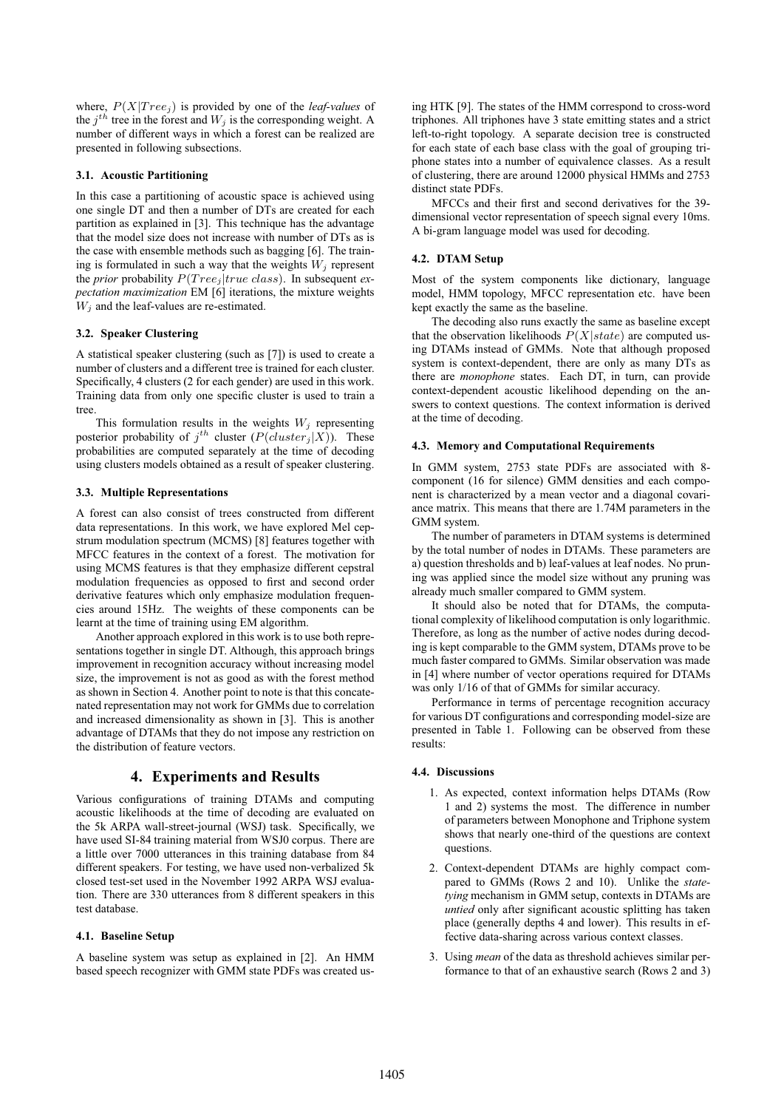where,  $P(X|Tree<sub>i</sub>)$  is provided by one of the *leaf-values* of the  $j^{th}$  tree in the forest and  $W_j$  is the corresponding weight. A number of different ways in which a forest can be realized are presented in following subsections.

#### **3.1. Acoustic Partitioning**

In this case a partitioning of acoustic space is achieved using one single DT and then a number of DTs are created for each partition as explained in [3]. This technique has the advantage that the model size does not increase with number of DTs as is the case with ensemble methods such as bagging [6]. The training is formulated in such a way that the weights  $W_i$  represent the *prior* probability  $P(Tree_j|true \; class)$ . In subsequent *expectation maximization* EM [6] iterations, the mixture weights  $W_i$  and the leaf-values are re-estimated.

#### **3.2. Speaker Clustering**

A statistical speaker clustering (such as [7]) is used to create a number of clusters and a different tree is trained for each cluster. Specifically, 4 clusters (2 for each gender) are used in this work. Training data from only one specific cluster is used to train a tree.

This formulation results in the weights  $W_j$  representing posterior probability of  $j^{th}$  cluster  $(P(cluster_j|X))$ . These probabilities are computed separately at the time of decoding using clusters models obtained as a result of speaker clustering.

#### **3.3. Multiple Representations**

A forest can also consist of trees constructed from different data representations. In this work, we have explored Mel cepstrum modulation spectrum (MCMS) [8] features together with MFCC features in the context of a forest. The motivation for using MCMS features is that they emphasize different cepstral modulation frequencies as opposed to first and second order derivative features which only emphasize modulation frequencies around 15Hz. The weights of these components can be learnt at the time of training using EM algorithm.

Another approach explored in this work is to use both representations together in single DT. Although, this approach brings improvement in recognition accuracy without increasing model size, the improvement is not as good as with the forest method as shown in Section 4. Another point to note is that this concatenated representation may not work for GMMs due to correlation and increased dimensionality as shown in [3]. This is another advantage of DTAMs that they do not impose any restriction on the distribution of feature vectors.

# **4. Experiments and Results**

Various configurations of training DTAMs and computing acoustic likelihoods at the time of decoding are evaluated on the 5k ARPA wall-street-journal (WSJ) task. Specifically, we have used SI-84 training material from WSJ0 corpus. There are a little over 7000 utterances in this training database from 84 different speakers. For testing, we have used non-verbalized 5k closed test-set used in the November 1992 ARPA WSJ evaluation. There are 330 utterances from 8 different speakers in this test database.

### **4.1. Baseline Setup**

A baseline system was setup as explained in [2]. An HMM based speech recognizer with GMM state PDFs was created us-

ing HTK [9]. The states of the HMM correspond to cross-word triphones. All triphones have 3 state emitting states and a strict left-to-right topology. A separate decision tree is constructed for each state of each base class with the goal of grouping triphone states into a number of equivalence classes. As a result of clustering, there are around 12000 physical HMMs and 2753 distinct state PDFs.

MFCCs and their first and second derivatives for the 39 dimensional vector representation of speech signal every 10ms. A bi-gram language model was used for decoding.

### **4.2. DTAM Setup**

Most of the system components like dictionary, language model, HMM topology, MFCC representation etc. have been kept exactly the same as the baseline.

The decoding also runs exactly the same as baseline except that the observation likelihoods  $P(X|state)$  are computed using DTAMs instead of GMMs. Note that although proposed system is context-dependent, there are only as many DTs as there are *monophone* states. Each DT, in turn, can provide context-dependent acoustic likelihood depending on the answers to context questions. The context information is derived at the time of decoding.

#### **4.3. Memory and Computational Requirements**

In GMM system, 2753 state PDFs are associated with 8 component (16 for silence) GMM densities and each component is characterized by a mean vector and a diagonal covariance matrix. This means that there are 1.74M parameters in the GMM system.

The number of parameters in DTAM systems is determined by the total number of nodes in DTAMs. These parameters are a) question thresholds and b) leaf-values at leaf nodes. No pruning was applied since the model size without any pruning was already much smaller compared to GMM system.

It should also be noted that for DTAMs, the computational complexity of likelihood computation is only logarithmic. Therefore, as long as the number of active nodes during decoding is kept comparable to the GMM system, DTAMs prove to be much faster compared to GMMs. Similar observation was made in [4] where number of vector operations required for DTAMs was only 1/16 of that of GMMs for similar accuracy.

Performance in terms of percentage recognition accuracy for various DT configurations and corresponding model-size are presented in Table 1. Following can be observed from these results:

#### **4.4. Discussions**

- 1. As expected, context information helps DTAMs (Row 1 and 2) systems the most. The difference in number of parameters between Monophone and Triphone system shows that nearly one-third of the questions are context questions.
- 2. Context-dependent DTAMs are highly compact compared to GMMs (Rows 2 and 10). Unlike the *statetying* mechanism in GMM setup, contexts in DTAMs are *untied* only after significant acoustic splitting has taken place (generally depths 4 and lower). This results in effective data-sharing across various context classes.
- 3. Using *mean* of the data as threshold achieves similar performance to that of an exhaustive search (Rows 2 and 3)